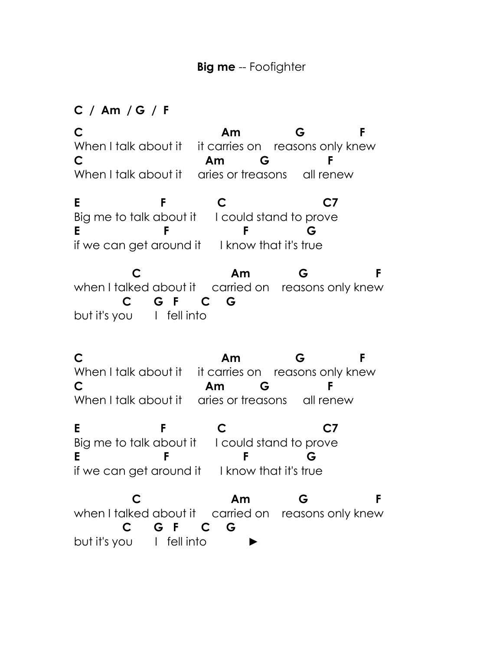## **C / Am / G / F**

**C Am G F** When I talk about it it carries on reasons only knew **C Am G F** When I talk about it aries or treasons all renew

**E F C C7** Big me to talk about it I could stand to prove **E F F G** if we can get around it I know that it's true

 **C Am G F** when I talked about it carried on reasons only knew  **C G F C G** but it's you I fell into

**C Am G F** When I talk about it it carries on reasons only knew **C Am G F** When I talk about it aries or treasons all renew

**E** F C C7 Big me to talk about it I could stand to prove **E F F G** if we can get around it I know that it's true

 **C Am G F** when I talked about it carried on reasons only knew  **C G F C G** but it's you I fell into